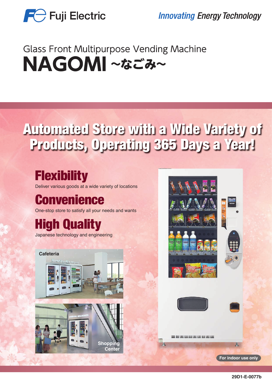

**Innovating Energy Technology** 

## **Glass Front Multipurpose Vending Machine** NAGOMI~なごみ~

# Automated Store with a Wide Variety of Products, Operating 365 Days a Year!